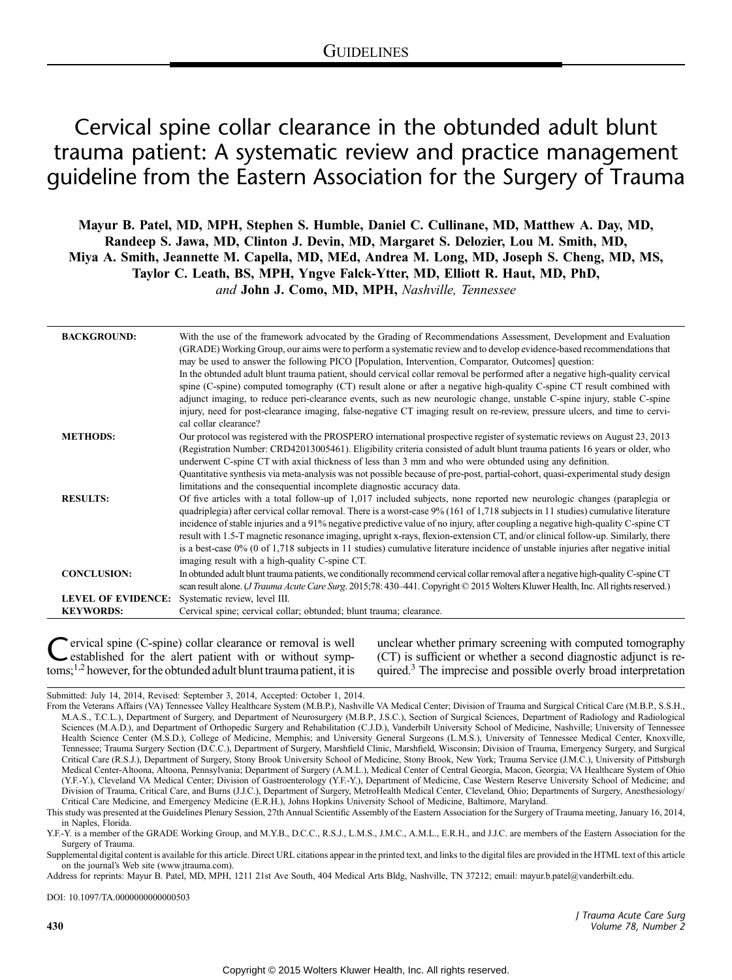# Cervical spine collar clearance in the obtunded adult blunt trauma patient: A systematic review and practice management guideline from the Eastern Association for the Surgery of Trauma

Mayur B. Patel, MD, MPH, Stephen S. Humble, Daniel C. Cullinane, MD, Matthew A. Day, MD, Randeep S. Jawa, MD, Clinton J. Devin, MD, Margaret S. Delozier, Lou M. Smith, MD, Miya A. Smith, Jeannette M. Capella, MD, MEd, Andrea M. Long, MD, Joseph S. Cheng, MD, MS, Taylor C. Leath, BS, MPH, Yngve Falck-Ytter, MD, Elliott R. Haut, MD, PhD, and John J. Como, MD, MPH, Nashville, Tennessee

| <b>BACKGROUND:</b>        | With the use of the framework advocated by the Grading of Recommendations Assessment, Development and Evaluation<br>(GRADE) Working Group, our aims were to perform a systematic review and to develop evidence-based recommendations that<br>may be used to answer the following PICO [Population, Intervention, Comparator, Outcomes] question:<br>In the obtunded adult blunt trauma patient, should cervical collar removal be performed after a negative high-quality cervical<br>spine (C-spine) computed tomography (CT) result alone or after a negative high-quality C-spine CT result combined with<br>adjunct imaging, to reduce peri-clearance events, such as new neurologic change, unstable C-spine injury, stable C-spine<br>injury, need for post-clearance imaging, false-negative CT imaging result on re-review, pressure ulcers, and time to cervi-<br>cal collar clearance? |
|---------------------------|---------------------------------------------------------------------------------------------------------------------------------------------------------------------------------------------------------------------------------------------------------------------------------------------------------------------------------------------------------------------------------------------------------------------------------------------------------------------------------------------------------------------------------------------------------------------------------------------------------------------------------------------------------------------------------------------------------------------------------------------------------------------------------------------------------------------------------------------------------------------------------------------------|
| <b>METHODS:</b>           | Our protocol was registered with the PROSPERO international prospective register of systematic reviews on August 23, 2013<br>(Registration Number: CRD42013005461). Eligibility criteria consisted of adult blunt trauma patients 16 years or older, who<br>underwent C-spine CT with axial thickness of less than 3 mm and who were obtunded using any definition.<br>Quantitative synthesis via meta-analysis was not possible because of pre-post, partial-cohort, quasi-experimental study design<br>limitations and the consequential incomplete diagnostic accuracy data.                                                                                                                                                                                                                                                                                                                   |
| <b>RESULTS:</b>           | Of five articles with a total follow-up of 1,017 included subjects, none reported new neurologic changes (paraplegia or<br>quadriplegia) after cervical collar removal. There is a worst-case 9% (161 of 1,718 subjects in 11 studies) cumulative literature<br>incidence of stable injuries and a 91% negative predictive value of no injury, after coupling a negative high-quality C-spine CT<br>result with 1.5-T magnetic resonance imaging, upright x-rays, flexion-extension CT, and/or clinical follow-up. Similarly, there<br>is a best-case 0% (0 of 1,718 subjects in 11 studies) cumulative literature incidence of unstable injuries after negative initial                                                                                                                                                                                                                          |
| <b>CONCLUSION:</b>        | imaging result with a high-quality C-spine CT.<br>In obtunded adult blunt trauma patients, we conditionally recommend cervical collar removal after a negative high-quality C-spine CT                                                                                                                                                                                                                                                                                                                                                                                                                                                                                                                                                                                                                                                                                                            |
|                           | scan result alone. ( <i>J Trauma Acute Care Surg.</i> 2015;78: 430–441. Copyright © 2015 Wolters Kluwer Health, Inc. All rights reserved.)                                                                                                                                                                                                                                                                                                                                                                                                                                                                                                                                                                                                                                                                                                                                                        |
| <b>LEVEL OF EVIDENCE:</b> | Systematic review, level III.                                                                                                                                                                                                                                                                                                                                                                                                                                                                                                                                                                                                                                                                                                                                                                                                                                                                     |
| <b>KEYWORDS:</b>          | Cervical spine; cervical collar; obtunded; blunt trauma; clearance.                                                                                                                                                                                                                                                                                                                                                                                                                                                                                                                                                                                                                                                                                                                                                                                                                               |

Cervical spine (C-spine) collar clearance or removal is well<br>established for the alert patient with or without symp-<br>terms<sup>22</sup> toms;<sup>1,2</sup> however, for the obtunded adult blunt trauma patient, it is

unclear whether primary screening with computed tomography (CT) is sufficient or whether a second diagnostic adjunct is required.<sup>3</sup> The imprecise and possible overly broad interpretation

Submitted: July 14, 2014, Revised: September 3, 2014, Accepted: October 1, 2014.

Address for reprints: Mayur B. Patel, MD, MPH, 1211 21st Ave South, 404 Medical Arts Bldg, Nashville, TN 37212; email: [mayur.b.patel@vanderbilt.edu](mailto:mayur.b.patel@vanderbilt.edu).

DOI: 10.1097/TA.0000000000000503

From the Veterans Affairs (VA) Tennessee Valley Healthcare System (M.B.P.), Nashville VA Medical Center; Division of Trauma and Surgical Critical Care (M.B.P., S.S.H., M.A.S., T.C.L.), Department of Surgery, and Department of Neurosurgery (M.B.P., J.S.C.), Section of Surgical Sciences, Department of Radiology and Radiological Sciences (M.A.D.), and Department of Orthopedic Surgery and Rehabilitation (C.J.D.), Vanderbilt University School of Medicine, Nashville; University of Tennessee Health Science Center (M.S.D.), College of Medicine, Memphis; and University General Surgeons (L.M.S.), University of Tennessee Medical Center, Knoxville, Tennessee; Trauma Surgery Section (D.C.C.), Department of Surgery, Marshfield Clinic, Marshfield, Wisconsin; Division of Trauma, Emergency Surgery, and Surgical Critical Care (R.S.J.), Department of Surgery, Stony Brook University School of Medicine, Stony Brook, New York; Trauma Service (J.M.C.), University of Pittsburgh Medical Center-Altoona, Altoona, Pennsylvania; Department of Surgery (A.M.L.), Medical Center of Central Georgia, Macon, Georgia; VA Healthcare System of Ohio (Y.F.-Y.), Cleveland VA Medical Center; Division of Gastroenterology (Y.F.-Y.), Department of Medicine, Case Western Reserve University School of Medicine; and Division of Trauma, Critical Care, and Burns (J.J.C.), Department of Surgery, MetroHealth Medical Center, Cleveland, Ohio; Departments of Surgery, Anesthesiology/ Critical Care Medicine, and Emergency Medicine (E.R.H.), Johns Hopkins University School of Medicine, Baltimore, Maryland.

This study was presented at the Guidelines Plenary Session, 27th Annual Scientific Assembly of the Eastern Association for the Surgery of Trauma meeting, January 16, 2014, in Naples, Florida.

Y.F.-Y. is a member of the GRADE Working Group, and M.Y.B., D.C.C., R.S.J., L.M.S., J.M.C., A.M.L., E.R.H., and J.J.C. are members of the Eastern Association for the Surgery of Trauma.

Supplemental digital content is available for this article. Direct URL citations appear in the printed text, and links to the digital files are provided in the HTML text of this article on the journal's Web site [\(www.jtrauma.com\)](http://www.jtrauma.com).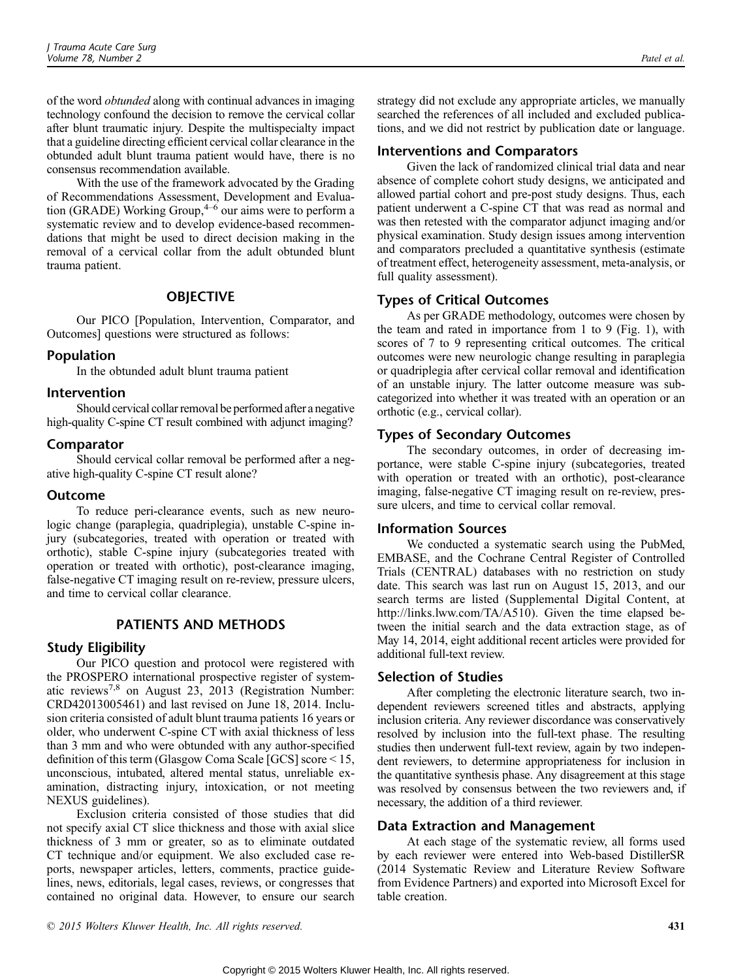of the word obtunded along with continual advances in imaging technology confound the decision to remove the cervical collar after blunt traumatic injury. Despite the multispecialty impact that a guideline directing efficient cervical collar clearance in the obtunded adult blunt trauma patient would have, there is no consensus recommendation available.

With the use of the framework advocated by the Grading of Recommendations Assessment, Development and Evaluation (GRADE) Working Group, $4-6$  our aims were to perform a systematic review and to develop evidence-based recommendations that might be used to direct decision making in the removal of a cervical collar from the adult obtunded blunt trauma patient.

## **OBJECTIVE**

Our PICO [Population, Intervention, Comparator, and Outcomes] questions were structured as follows:

## Population

In the obtunded adult blunt trauma patient

## Intervention

Should cervical collar removal be performed after a negative high-quality C-spine CT result combined with adjunct imaging?

## Comparator

Should cervical collar removal be performed after a negative high-quality C-spine CT result alone?

## Outcome

To reduce peri-clearance events, such as new neurologic change (paraplegia, quadriplegia), unstable C-spine injury (subcategories, treated with operation or treated with orthotic), stable C-spine injury (subcategories treated with operation or treated with orthotic), post-clearance imaging, false-negative CT imaging result on re-review, pressure ulcers, and time to cervical collar clearance.

# PATIENTS AND METHODS

## Study Eligibility

Our PICO question and protocol were registered with the PROSPERO international prospective register of systematic reviews7,8 on August 23, 2013 (Registration Number: CRD42013005461) and last revised on June 18, 2014. Inclusion criteria consisted of adult blunt trauma patients 16 years or older, who underwent C-spine CT with axial thickness of less than 3 mm and who were obtunded with any author-specified definition of this term (Glasgow Coma Scale [GCS] score  $\leq$  15, unconscious, intubated, altered mental status, unreliable examination, distracting injury, intoxication, or not meeting NEXUS guidelines).

Exclusion criteria consisted of those studies that did not specify axial CT slice thickness and those with axial slice thickness of 3 mm or greater, so as to eliminate outdated CT technique and/or equipment. We also excluded case reports, newspaper articles, letters, comments, practice guidelines, news, editorials, legal cases, reviews, or congresses that contained no original data. However, to ensure our search

strategy did not exclude any appropriate articles, we manually searched the references of all included and excluded publications, and we did not restrict by publication date or language.

## Interventions and Comparators

Given the lack of randomized clinical trial data and near absence of complete cohort study designs, we anticipated and allowed partial cohort and pre-post study designs. Thus, each patient underwent a C-spine CT that was read as normal and was then retested with the comparator adjunct imaging and/or physical examination. Study design issues among intervention and comparators precluded a quantitative synthesis (estimate of treatment effect, heterogeneity assessment, meta-analysis, or full quality assessment).

# Types of Critical Outcomes

As per GRADE methodology, outcomes were chosen by the team and rated in importance from 1 to 9 (Fig. 1), with scores of 7 to 9 representing critical outcomes. The critical outcomes were new neurologic change resulting in paraplegia or quadriplegia after cervical collar removal and identification of an unstable injury. The latter outcome measure was subcategorized into whether it was treated with an operation or an orthotic (e.g., cervical collar).

## Types of Secondary Outcomes

The secondary outcomes, in order of decreasing importance, were stable C-spine injury (subcategories, treated with operation or treated with an orthotic), post-clearance imaging, false-negative CT imaging result on re-review, pressure ulcers, and time to cervical collar removal.

## Information Sources

We conducted a systematic search using the PubMed, EMBASE, and the Cochrane Central Register of Controlled Trials (CENTRAL) databases with no restriction on study date. This search was last run on August 15, 2013, and our search terms are listed (Supplemental Digital Content, at [http://links.lww.com/TA/A510\)](http://links.lww.com/TA/XXX). Given the time elapsed between the initial search and the data extraction stage, as of May 14, 2014, eight additional recent articles were provided for additional full-text review.

## Selection of Studies

After completing the electronic literature search, two independent reviewers screened titles and abstracts, applying inclusion criteria. Any reviewer discordance was conservatively resolved by inclusion into the full-text phase. The resulting studies then underwent full-text review, again by two independent reviewers, to determine appropriateness for inclusion in the quantitative synthesis phase. Any disagreement at this stage was resolved by consensus between the two reviewers and, if necessary, the addition of a third reviewer.

## Data Extraction and Management

At each stage of the systematic review, all forms used by each reviewer were entered into Web-based DistillerSR (2014 Systematic Review and Literature Review Software from Evidence Partners) and exported into Microsoft Excel for table creation.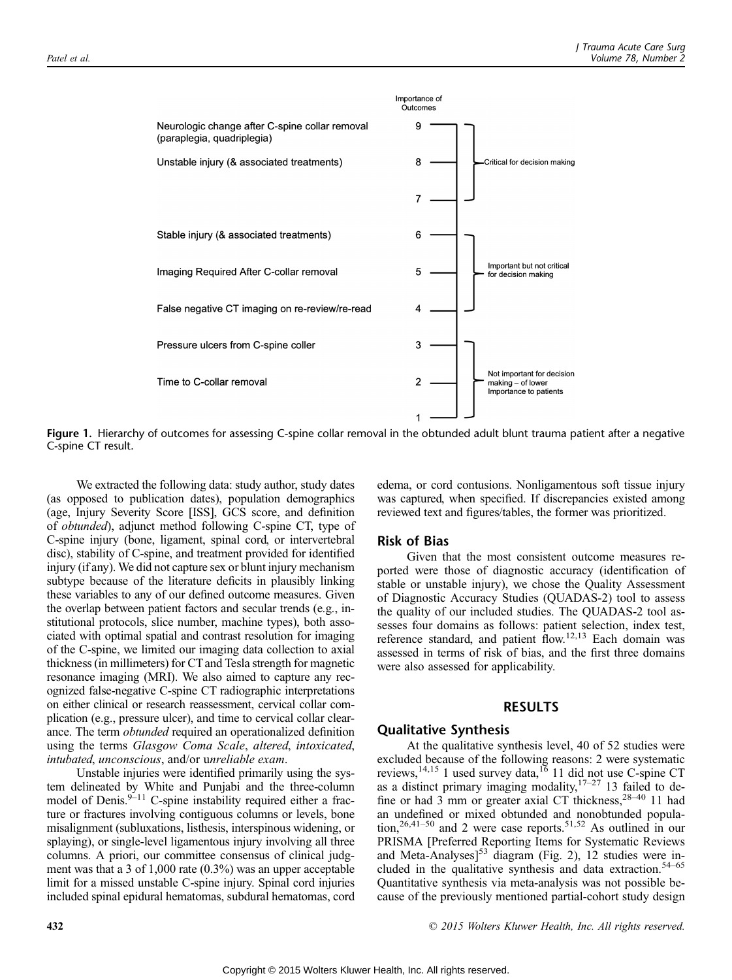

Figure 1. Hierarchy of outcomes for assessing C-spine collar removal in the obtunded adult blunt trauma patient after a negative C-spine CT result.

We extracted the following data: study author, study dates (as opposed to publication dates), population demographics (age, Injury Severity Score [ISS], GCS score, and definition of obtunded), adjunct method following C-spine CT, type of C-spine injury (bone, ligament, spinal cord, or intervertebral disc), stability of C-spine, and treatment provided for identified injury (if any). We did not capture sex or blunt injury mechanism subtype because of the literature deficits in plausibly linking these variables to any of our defined outcome measures. Given the overlap between patient factors and secular trends (e.g., institutional protocols, slice number, machine types), both associated with optimal spatial and contrast resolution for imaging of the C-spine, we limited our imaging data collection to axial thickness (in millimeters) for CTand Tesla strength for magnetic resonance imaging (MRI). We also aimed to capture any recognized false-negative C-spine CT radiographic interpretations on either clinical or research reassessment, cervical collar complication (e.g., pressure ulcer), and time to cervical collar clearance. The term obtunded required an operationalized definition using the terms Glasgow Coma Scale, altered, intoxicated, intubated, unconscious, and/or unreliable exam.

Unstable injuries were identified primarily using the system delineated by White and Punjabi and the three-column model of Denis. $9-11$  C-spine instability required either a fracture or fractures involving contiguous columns or levels, bone misalignment (subluxations, listhesis, interspinous widening, or splaying), or single-level ligamentous injury involving all three columns. A priori, our committee consensus of clinical judgment was that a 3 of 1,000 rate (0.3%) was an upper acceptable limit for a missed unstable C-spine injury. Spinal cord injuries included spinal epidural hematomas, subdural hematomas, cord edema, or cord contusions. Nonligamentous soft tissue injury was captured, when specified. If discrepancies existed among reviewed text and figures/tables, the former was prioritized.

## Risk of Bias

Given that the most consistent outcome measures reported were those of diagnostic accuracy (identification of stable or unstable injury), we chose the Quality Assessment of Diagnostic Accuracy Studies (QUADAS-2) tool to assess the quality of our included studies. The QUADAS-2 tool assesses four domains as follows: patient selection, index test, reference standard, and patient flow.12,13 Each domain was assessed in terms of risk of bias, and the first three domains were also assessed for applicability.

## RESULTS

## Qualitative Synthesis

At the qualitative synthesis level, 40 of 52 studies were excluded because of the following reasons: 2 were systematic reviews,  $14,15$  1 used survey data,  $16$  11 did not use C-spine CT as a distinct primary imaging modality,  $17-27$  13 failed to define or had 3 mm or greater axial CT thickness,  $28-40$  11 had an undefined or mixed obtunded and nonobtunded population,<sup>26,41-50</sup> and 2 were case reports.<sup>51,52</sup> As outlined in our PRISMA [Preferred Reporting Items for Systematic Reviews and Meta-Analyses] $53$  diagram (Fig. 2), 12 studies were included in the qualitative synthesis and data extraction.<sup>54-65</sup> Quantitative synthesis via meta-analysis was not possible because of the previously mentioned partial-cohort study design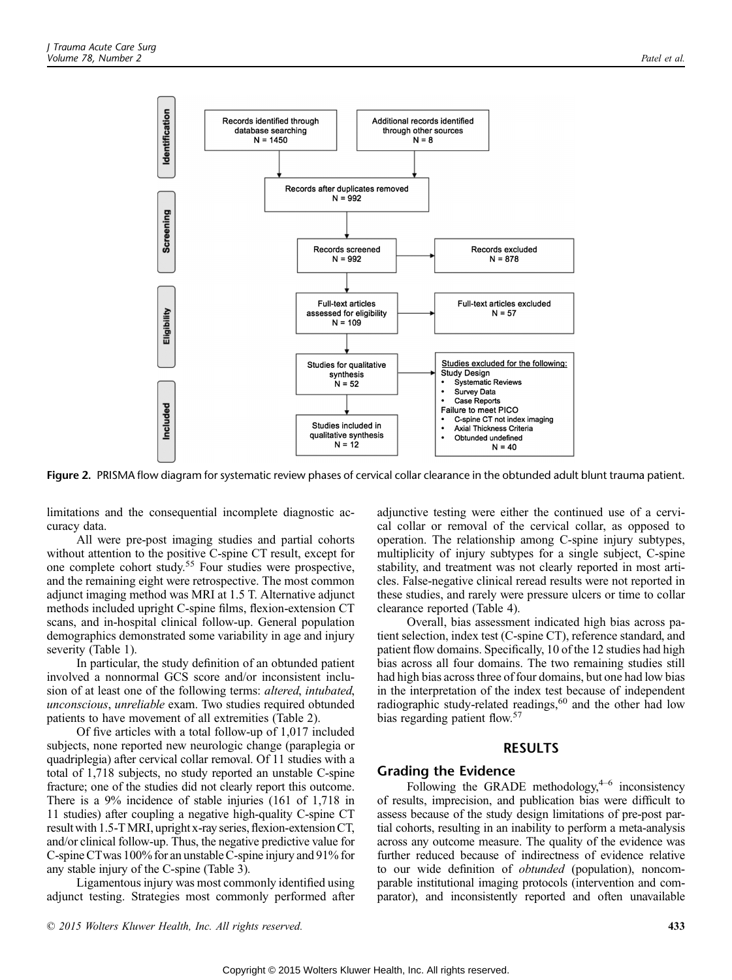

Figure 2. PRISMA flow diagram for systematic review phases of cervical collar clearance in the obtunded adult blunt trauma patient.

limitations and the consequential incomplete diagnostic accuracy data.

All were pre-post imaging studies and partial cohorts without attention to the positive C-spine CT result, except for one complete cohort study.<sup>55</sup> Four studies were prospective, and the remaining eight were retrospective. The most common adjunct imaging method was MRI at 1.5 T. Alternative adjunct methods included upright C-spine films, flexion-extension CT scans, and in-hospital clinical follow-up. General population demographics demonstrated some variability in age and injury severity (Table 1).

In particular, the study definition of an obtunded patient involved a nonnormal GCS score and/or inconsistent inclusion of at least one of the following terms: altered, intubated, unconscious, unreliable exam. Two studies required obtunded patients to have movement of all extremities (Table 2).

Of five articles with a total follow-up of 1,017 included subjects, none reported new neurologic change (paraplegia or quadriplegia) after cervical collar removal. Of 11 studies with a total of 1,718 subjects, no study reported an unstable C-spine fracture; one of the studies did not clearly report this outcome. There is a 9% incidence of stable injuries (161 of 1,718 in 11 studies) after coupling a negative high-quality C-spine CT result with 1.5-TMRI, upright x-ray series, flexion-extension CT, and/or clinical follow-up. Thus, the negative predictive value for C-spine CTwas 100% for an unstable C-spine injury and 91% for any stable injury of the C-spine (Table 3).

Ligamentous injury was most commonly identified using adjunct testing. Strategies most commonly performed after adjunctive testing were either the continued use of a cervical collar or removal of the cervical collar, as opposed to operation. The relationship among C-spine injury subtypes, multiplicity of injury subtypes for a single subject, C-spine stability, and treatment was not clearly reported in most articles. False-negative clinical reread results were not reported in these studies, and rarely were pressure ulcers or time to collar clearance reported (Table 4).

Overall, bias assessment indicated high bias across patient selection, index test (C-spine CT), reference standard, and patient flow domains. Specifically, 10 of the 12 studies had high bias across all four domains. The two remaining studies still had high bias across three of four domains, but one had low bias in the interpretation of the index test because of independent radiographic study-related readings,<sup>60</sup> and the other had low bias regarding patient flow.<sup>57</sup>

## RESULTS

## Grading the Evidence

Following the GRADE methodology, $4-6$  inconsistency of results, imprecision, and publication bias were difficult to assess because of the study design limitations of pre-post partial cohorts, resulting in an inability to perform a meta-analysis across any outcome measure. The quality of the evidence was further reduced because of indirectness of evidence relative to our wide definition of obtunded (population), noncomparable institutional imaging protocols (intervention and comparator), and inconsistently reported and often unavailable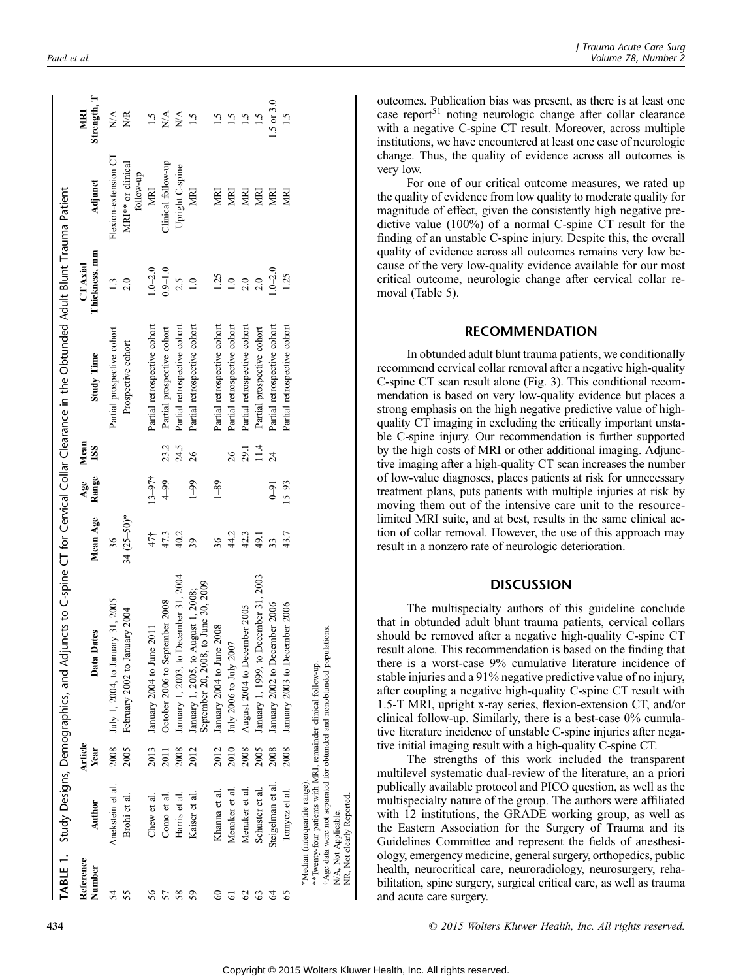|                     |                                                                                    |                 | TABLE 1. Study Designs, Demographics, and Adjuncts to C-spine CT for Cervical Collar Clearance in the Obtunded Adult Blunt Trauma Patient |                       |              |                    |                                                  |                           |                                                        |                               |
|---------------------|------------------------------------------------------------------------------------|-----------------|-------------------------------------------------------------------------------------------------------------------------------------------|-----------------------|--------------|--------------------|--------------------------------------------------|---------------------------|--------------------------------------------------------|-------------------------------|
| Reference<br>Number | Author                                                                             | Article<br>Year | Dates<br>Data 1                                                                                                                           | Mean Age              | Range<br>Age | Mean<br><b>ISS</b> | <b>Study Time</b>                                | Thickness, mm<br>CT Axial | Adjunct                                                | Strength, T<br>MRI            |
| 54<br>55            | Anekstein et al<br>Brohi et al.                                                    | 2005<br>2008    | July 1, 2004, to January 31, 2005<br>February 2002 to January 2004                                                                        | $34 (25 - 50)*$<br>36 |              |                    | Partial prospective cohort<br>Prospective cohort | 1.3<br>2.0                | Flexion-extension CT<br>MRI** or clinical<br>follow-up | $\sum_{i=1}^{n}$<br><b>NR</b> |
| 56                  | Chew et al.                                                                        | 2013            | January 2004 to June 2011                                                                                                                 | 47†                   | $13 - 97$ †  |                    | Partial retrospective cohort                     | $1.0 - 2.0$               | <b>MRI</b>                                             | 1.5                           |
| 57                  | Como et al.                                                                        | 2011            | October 2006 to September 2008                                                                                                            | 47.3                  | $4 - 99$     | 23.2               | Partial prospective cohort                       | $0.9 - 1.0$               | Clinical follow-up                                     | $N\mathcal{A}$                |
| 58                  | Harris et al.                                                                      | 2008            | January 1, 2003, to December 31, 2004                                                                                                     | 40.2                  |              | 24.5               | Partial retrospective cohort                     | 2.5                       | Upright C-spine                                        | $N\mathcal{A}$                |
| 59                  | Kaiser et al.                                                                      | 2012            | September 20, 2008, to June 30, 2009<br>January 1, 2005, to August 1, 2008;                                                               | 39                    | $1 - 99$     | 26                 | Partial retrospective cohort                     | 1.0                       | MRI                                                    | 1.5                           |
| 8                   | Khanna et al.                                                                      | 2012            | January 2004 to June 2008                                                                                                                 | 36                    | $1 - 89$     |                    | Partial retrospective cohort                     | 1.25                      | MRI                                                    |                               |
| 61                  | Menaker et al                                                                      | 2010            | July 2006 to July 2007                                                                                                                    | 44.2                  |              | 26                 | Partial retrospective cohort                     | $\overline{0}$            | MRI                                                    | 1.5                           |
| $\mathcal{O}$       | Menaker et al.                                                                     | 2008            | August 2004 to December 2005                                                                                                              | 42.3                  |              | 29.1               | Partial retrospective cohort                     | 2.0                       | MRI                                                    | $\ddot{1.5}$                  |
| S                   | Schuster et al.                                                                    | 2005            | January 1, 1999, to December 31, 2003                                                                                                     | 49.1                  |              | 11.4               | Partial prospective cohort                       | 2.0                       | <b>NEV</b>                                             |                               |
| 3                   | Steigelman et al                                                                   | 2008            | January 2002 to December 2006                                                                                                             | 33                    | $0 - 91$     | $\overline{24}$    | Partial retrospective cohort                     | $1.0 - 2.0$               | KEN                                                    | $1.5$ or $3.0$                |
| 65                  | Tomycz et al.                                                                      | 2008            | January 2003 to December 2006                                                                                                             | 43.7                  | $15 - 93$    |                    | Partial retrospective cohort                     | 1.25                      | ğ                                                      | $\overline{1}$ .5             |
|                     | *Median (interquartile range)<br>NR, Not clearly Reported.<br>N/A, Not Applicable. |                 | Age data were not separated for obtunded and nonobtunded populations.<br>**Twenty-four patients with MRI, remainder clinical follow-up.   |                       |              |                    |                                                  |                           |                                                        |                               |

outcomes. Publication bias was present, as there is at least one case report<sup>51</sup> noting neurologic change after collar clearance with a negative C-spine CT result. Moreover, across multiple institutions, we have encountered at least one case of neurologic change. Thus, the quality of evidence across all outcomes is very low.

For one of our critical outcome measures, we rated up the quality of evidence from low quality to moderate quality for magnitude of effect, given the consistently high negative predictive value (100%) of a normal C-spine CT result for the finding of an unstable C-spine injury. Despite this, the overall quality of evidence across all outcomes remains very low because of the very low-quality evidence available for our most critical outcome, neurologic change after cervical collar removal (Table 5).

## RECOMMENDATION

In obtunded adult blunt trauma patients, we conditionally recommend cervical collar removal after a negative high-quality C-spine CT scan result alone (Fig. 3). This conditional recommendation is based on very low-quality evidence but places a strong emphasis on the high negative predictive value of highquality CT imaging in excluding the critically important unstable C-spine injury. Our recommendation is further supported by the high costs of MRI or other additional imaging. Adjunctive imaging after a high-quality CT scan increases the number of low-value diagnoses, places patients at risk for unnecessary treatment plans, puts patients with multiple injuries at risk by moving them out of the intensive care unit to the resourcelimited MRI suite, and at best, results in the same clinical action of collar removal. However, the use of this approach may result in a nonzero rate of neurologic deterioration.

## **DISCUSSION**

The multispecialty authors of this guideline conclude that in obtunded adult blunt trauma patients, cervical collars should be removed after a negative high-quality C-spine CT result alone. This recommendation is based on the finding that there is a worst-case 9% cumulative literature incidence of stable injuries and a 91% negative predictive value of no injury, after coupling a negative high-quality C-spine CT result with 1.5-T MRI, upright x-ray series, flexion-extension CT, and/or clinical follow-up. Similarly, there is a best-case 0% cumulative literature incidence of unstable C-spine injuries after negative initial imaging result with a high-quality C-spine CT.

The strengths of this work included the transparent multilevel systematic dual-review of the literature, an a priori publically available protocol and PICO question, as well as the multispecialty nature of the group. The authors were affiliated with 12 institutions, the GRADE working group, as well as the Eastern Association for the Surgery of Trauma and its Guidelines Committee and represent the fields of anesthesiology, emergency medicine, general surgery, orthopedics, public health, neurocritical care, neuroradiology, neurosurgery, rehabilitation, spine surgery, surgical critical care, as well as trauma and acute care surgery.

**434 2015** Wolters Kluwer Health, Inc. All rights reserved.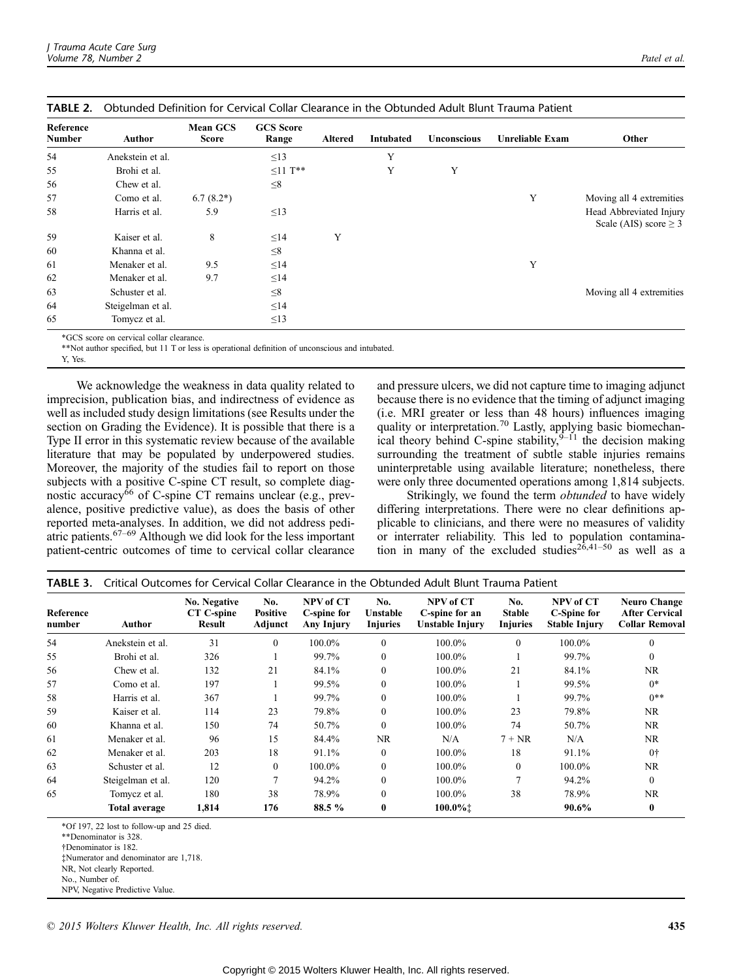| IABLE Z.            |                   |                                 |                           |                |           |             | Obtunded Definition for Cervical Collar Clearance in the Obtunded Adult Blunt Trauma Patient |                                                       |
|---------------------|-------------------|---------------------------------|---------------------------|----------------|-----------|-------------|----------------------------------------------------------------------------------------------|-------------------------------------------------------|
| Reference<br>Number | Author            | <b>Mean GCS</b><br><b>Score</b> | <b>GCS</b> Score<br>Range | <b>Altered</b> | Intubated | Unconscious | Unreliable Exam                                                                              | <b>Other</b>                                          |
| 54                  | Anekstein et al.  |                                 | $\leq$ 13                 |                | Y         |             |                                                                                              |                                                       |
| 55                  | Brohi et al.      |                                 | $\leq$ 11 T**             |                | Y         | Y           |                                                                                              |                                                       |
| 56                  | Chew et al.       |                                 | $\leq 8$                  |                |           |             |                                                                                              |                                                       |
| 57                  | Como et al.       | $6.7(8.2*)$                     |                           |                |           |             | Y                                                                                            | Moving all 4 extremities                              |
| 58                  | Harris et al.     | 5.9                             | $\leq$ 13                 |                |           |             |                                                                                              | Head Abbreviated Injury<br>Scale (AIS) score $\geq$ 3 |
| 59                  | Kaiser et al.     | 8                               | $\leq$ 14                 | Y              |           |             |                                                                                              |                                                       |
| 60                  | Khanna et al.     |                                 | $\leq 8$                  |                |           |             |                                                                                              |                                                       |
| 61                  | Menaker et al.    | 9.5                             | $\leq$ 14                 |                |           |             | Y                                                                                            |                                                       |
| 62                  | Menaker et al.    | 9.7                             | $\leq$ 14                 |                |           |             |                                                                                              |                                                       |
| 63                  | Schuster et al.   |                                 | $\leq 8$                  |                |           |             |                                                                                              | Moving all 4 extremities                              |
| 64                  | Steigelman et al. |                                 | $\leq$ 14                 |                |           |             |                                                                                              |                                                       |
| 65                  | Tomycz et al.     |                                 | $\leq$ 13                 |                |           |             |                                                                                              |                                                       |

\*GCS score on cervical collar clearance.

\*\*Not author specified, but 11 T or less is operational definition of unconscious and intubated.

Y, Yes.

We acknowledge the weakness in data quality related to imprecision, publication bias, and indirectness of evidence as well as included study design limitations (see Results under the section on Grading the Evidence). It is possible that there is a Type II error in this systematic review because of the available literature that may be populated by underpowered studies. Moreover, the majority of the studies fail to report on those subjects with a positive C-spine CT result, so complete diagnostic accuracy $\delta$ <sup>6</sup> of C-spine CT remains unclear (e.g., prevalence, positive predictive value), as does the basis of other reported meta-analyses. In addition, we did not address pediatric patients. $67-69$  Although we did look for the less important patient-centric outcomes of time to cervical collar clearance

and pressure ulcers, we did not capture time to imaging adjunct because there is no evidence that the timing of adjunct imaging (i.e. MRI greater or less than 48 hours) influences imaging quality or interpretation.<sup>70</sup> Lastly, applying basic biomechanical theory behind C-spine stability,  $9-11$  the decision making surrounding the treatment of subtle stable injuries remains uninterpretable using available literature; nonetheless, there were only three documented operations among 1,814 subjects.

Strikingly, we found the term *obtunded* to have widely differing interpretations. There were no clear definitions applicable to clinicians, and there were no measures of validity or interrater reliability. This led to population contamination in many of the excluded studies<sup>26,41-50</sup> as well as a

| Reference<br>number | Author               | No. Negative<br>CT C-spine<br>Result | No.<br><b>Positive</b><br>Adjunct | NPV of CT<br>C-spine for<br>Any Injury | No.<br>Unstable<br><b>Injuries</b> | NPV of CT<br>C-spine for an<br>Unstable Injury | No.<br><b>Stable</b><br><b>Injuries</b> | NPV of CT<br>C-Spine for<br><b>Stable Injury</b> | <b>Neuro Change</b><br><b>After Cervical</b><br><b>Collar Removal</b> |
|---------------------|----------------------|--------------------------------------|-----------------------------------|----------------------------------------|------------------------------------|------------------------------------------------|-----------------------------------------|--------------------------------------------------|-----------------------------------------------------------------------|
| 54                  | Anekstein et al.     | 31                                   | $\Omega$                          | 100.0%                                 | $\theta$                           | 100.0%                                         | $\theta$                                | 100.0%                                           | $\theta$                                                              |
| 55                  | Brohi et al.         | 326                                  |                                   | 99.7%                                  | $\mathbf{0}$                       | 100.0%                                         |                                         | 99.7%                                            | $\theta$                                                              |
| 56                  | Chew et al.          | 132                                  | 21                                | 84.1%                                  | $\Omega$                           | 100.0%                                         | 21                                      | 84.1%                                            | NR.                                                                   |
| 57                  | Como et al.          | 197                                  |                                   | 99.5%                                  | $\Omega$                           | 100.0%                                         |                                         | 99.5%                                            | $0*$                                                                  |
| 58                  | Harris et al.        | 367                                  |                                   | 99.7%                                  | $\Omega$                           | 100.0%                                         |                                         | 99.7%                                            | $0***$                                                                |
| 59                  | Kaiser et al.        | 114                                  | 23                                | 79.8%                                  | $\Omega$                           | 100.0%                                         | 23                                      | 79.8%                                            | <b>NR</b>                                                             |
| 60                  | Khanna et al.        | 150                                  | 74                                | 50.7%                                  | $\mathbf{0}$                       | 100.0%                                         | 74                                      | 50.7%                                            | <b>NR</b>                                                             |
| 61                  | Menaker et al.       | 96                                   | 15                                | 84.4%                                  | NR.                                | N/A                                            | $7 + NR$                                | N/A                                              | NR.                                                                   |
| 62                  | Menaker et al.       | 203                                  | 18                                | 91.1%                                  | $\Omega$                           | 100.0%                                         | 18                                      | 91.1%                                            | 0 <sup>†</sup>                                                        |
| 63                  | Schuster et al.      | 12                                   | $\Omega$                          | 100.0%                                 | $\Omega$                           | 100.0%                                         | $\theta$                                | 100.0%                                           | NR.                                                                   |
| 64                  | Steigelman et al.    | 120                                  | $\mathbf{r}$                      | 94.2%                                  | $\Omega$                           | 100.0%                                         | $\overline{7}$                          | 94.2%                                            | $\Omega$                                                              |
| 65                  | Tomycz et al.        | 180                                  | 38                                | 78.9%                                  | $\theta$                           | 100.0%                                         | 38                                      | 78.9%                                            | NR.                                                                   |
|                     | <b>Total average</b> | 1,814                                | 176                               | 88.5 %                                 | $\bf{0}$                           | 100.0%‡                                        |                                         | 90.6%                                            | $\mathbf{0}$                                                          |

TABLE 3. Critical Outcomes for Cervical Collar Clearance in the Obtunded Adult Blunt Trauma Patient

\*Of 197, 22 lost to follow-up and 25 died.

†Denominator is 182.

‡Numerator and denominator are 1,718.

NR, Not clearly Reported.

<sup>\*\*</sup>Denominator is 328.

No., Number of.

NPV, Negative Predictive Value.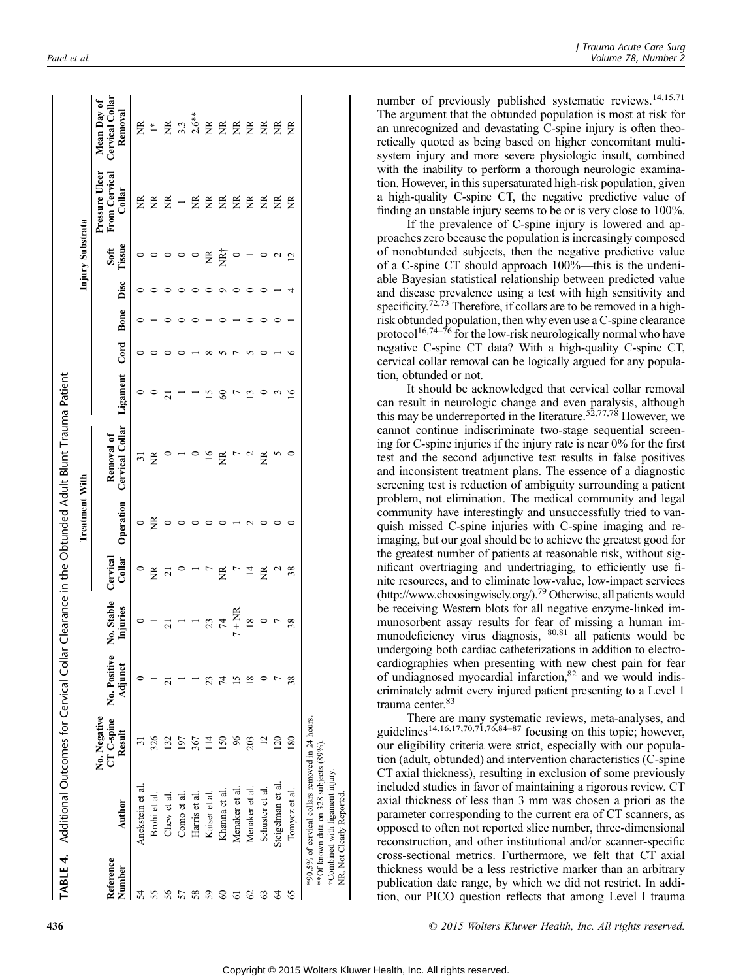|                     | <b>TABLE 4.</b> Additional Outcomes for Cervical Collar                                   |                        |                                    |                          |                    |                       | Clearance in the Obtunded Adult Blunt Trauma Patient |                 |      |      |      |                  |                                                  |                                                                                                      |
|---------------------|-------------------------------------------------------------------------------------------|------------------------|------------------------------------|--------------------------|--------------------|-----------------------|------------------------------------------------------|-----------------|------|------|------|------------------|--------------------------------------------------|------------------------------------------------------------------------------------------------------|
|                     |                                                                                           |                        |                                    |                          |                    | <b>Treatment With</b> |                                                      |                 |      |      |      | Injury Substrata |                                                  |                                                                                                      |
| Reference<br>Number | Author                                                                                    | No. Negative<br>Result | CT C-spine No. Positive<br>Adjunct | No. Stable<br>Injuries   | Collar<br>Cervical | Operation             | Cervical Collar<br>Removal of                        | Ligament        | Cord | Bone | Disc | Tissue<br>Soft   | Pressure Ulcer<br><b>From Cervical</b><br>Collar | Cervical Collar<br>Mean Day of<br>Removal                                                            |
| 54                  | Anekstein et al                                                                           |                        |                                    |                          | $\circ$            |                       | ಸ                                                    |                 |      |      |      |                  | Ĕ                                                | ΣŘ                                                                                                   |
| 55                  | Brohi et al                                                                               | 326                    |                                    |                          | $\widetilde{\Xi}$  | ã                     | ž                                                    |                 |      |      |      |                  | ž                                                | $\ddagger$                                                                                           |
| 56                  | Chew et al                                                                                |                        |                                    | $\overline{21}$          | $\overline{21}$    |                       |                                                      | $\overline{21}$ |      |      |      |                  | Ĕ                                                |                                                                                                      |
| 57                  | Como et al                                                                                | 50                     |                                    |                          |                    |                       |                                                      |                 |      |      |      |                  |                                                  |                                                                                                      |
| 58                  | Harris et al                                                                              | 367                    |                                    |                          |                    |                       |                                                      |                 |      |      |      | $\circ$          | ž                                                |                                                                                                      |
| 59                  | Kaiser et al                                                                              |                        |                                    | 23                       |                    |                       | $\overline{16}$                                      |                 |      |      |      | ž                | Ĕ                                                |                                                                                                      |
| 8                   | Khanna et al.                                                                             | $\frac{50}{2}$         | 4                                  | $\overline{\mathcal{F}}$ | ž                  |                       | ž                                                    | 3               |      |      |      | NR†              | Ĕ                                                |                                                                                                      |
| $\overline{6}$      | Menaker et al.                                                                            |                        |                                    | $7 + NR$                 |                    |                       | $\overline{ }$                                       |                 |      |      |      | $\circ$          | Ĕ                                                |                                                                                                      |
| $\mathcal{S}$       | Menaker et al                                                                             | 203                    |                                    | $\overline{18}$          | $\overline{4}$     |                       | $\sim$                                               | 13              |      |      |      |                  | ž                                                | $\Xi \stackrel{**}{\sim} \mathop{\rm Ker}^* \Xi \stackrel{\cong}{\to} \Xi \stackrel{\cong}{\to} \Xi$ |
| 63                  | Schuster et al                                                                            |                        |                                    | $\circ$                  | Ĕ                  |                       | ž                                                    |                 |      |      |      |                  | ã                                                | $\widetilde{\Xi}$                                                                                    |
| 64                  | Steigelman et al                                                                          | 120                    |                                    |                          |                    |                       |                                                      |                 |      |      |      | 1                | ž                                                | $\widetilde{\Xi}$                                                                                    |
| 65                  | Tomycz et al.                                                                             | 80                     | 38                                 | 38                       | 38                 |                       |                                                      | ≌               |      |      |      | $\overline{2}$   | ž                                                | $\widetilde{\Xi}$                                                                                    |
|                     | *90.5% of cervical collars removed in 24 hours.<br>**Of known data on 328 subjects (89%). |                        |                                    |                          |                    |                       |                                                      |                 |      |      |      |                  |                                                  |                                                                                                      |

number of previously published systematic reviews.<sup>14,15,71</sup> The argument that the obtunded population is most at risk for an unrecognized and devastating C-spine injury is often theoretically quoted as being based on higher concomitant multisystem injury and more severe physiologic insult, combined with the inability to perform a thorough neurologic examination. However, in this supersaturated high-risk population, given a high-quality C-spine CT, the negative predictive value of finding an unstable injury seems to be or is very close to 100%.

If the prevalence of C-spine injury is lowered and approaches zero because the population is increasingly composed of nonobtunded subjects, then the negative predictive value of a C-spine CT should approach  $100\%$ —this is the undeniable Bayesian statistical relationship between predicted value and disease prevalence using a test with high sensitivity and specificity.<sup>72,73</sup> Therefore, if collars are to be removed in a highrisk obtunded population, then why even use a C-spine clearance<br>protocol<sup>16,74–76</sup> for the low-risk neurologically normal who have negative C-spine CT data? With a high-quality C-spine CT, cervical collar removal can be logically argued for any population, obtunded or not.

It should be acknowledged that cervical collar removal can result in neurologic change and even paralysis, although this may be underreported in the literature.<sup>52,77,78</sup> However, we cannot continue indiscriminate two-stage sequential screening for C-spine injuries if the injury rate is near 0% for the first test and the second adjunctive test results in false positives and inconsistent treatment plans. The essence of a diagnostic screening test is reduction of ambiguity surrounding a patient problem, not elimination. The medical community and legal community have interestingly and unsuccessfully tried to vanquish missed C-spine injuries with C-spine imaging and reimaging, but our goal should be to achieve the greatest good for the greatest number of patients at reasonable risk, without significant overtriaging and undertriaging, to efficiently use finite resources, and to eliminate low-value, low-impact services [\(http://www.choosingwisely.org/](http://www.choosingwisely.org/)).79 Otherwise, all patients would be receiving Western blots for all negative enzyme-linked immunosorbent assay results for fear of missing a human immunodeficiency virus diagnosis, 80,81 all patients would be undergoing both cardiac catheterizations in addition to electrocardiographies when presenting with new chest pain for fear of undiagnosed myocardial infarction, $82$  and we would indiscriminately admit every injured patient presenting to a Level 1 trauma center.<sup>83</sup>

There are many systematic reviews, meta-analyses, and guidelines<sup>14,16,17,70,71,76,84–87</sup> focusing on this topic; however, our eligibility criteria were strict, especially with our population (adult, obtunded) and intervention characteristics (C-spine CT axial thickness), resulting in exclusion of some previously included studies in favor of maintaining a rigorous review. CT axial thickness of less than 3 mm was chosen a priori as the parameter corresponding to the current era of CT scanners, as opposed to often not reported slice number, three-dimensional reconstruction, and other institutional and/or scanner-specific cross-sectional metrics. Furthermore, we felt that CT axial thickness would be a less restrictive marker than an arbitrary publication date range, by which we did not restrict. In addition, our PICO question reflects that among Level I trauma

**436**  $\degree$  2015 Wolters Kluwer Health, Inc. All rights reserved.

†Combined with ligament injury. NR, Not Clearly Reported.

†Combined with ligament injury.<br>NR, Not Clearly Reported.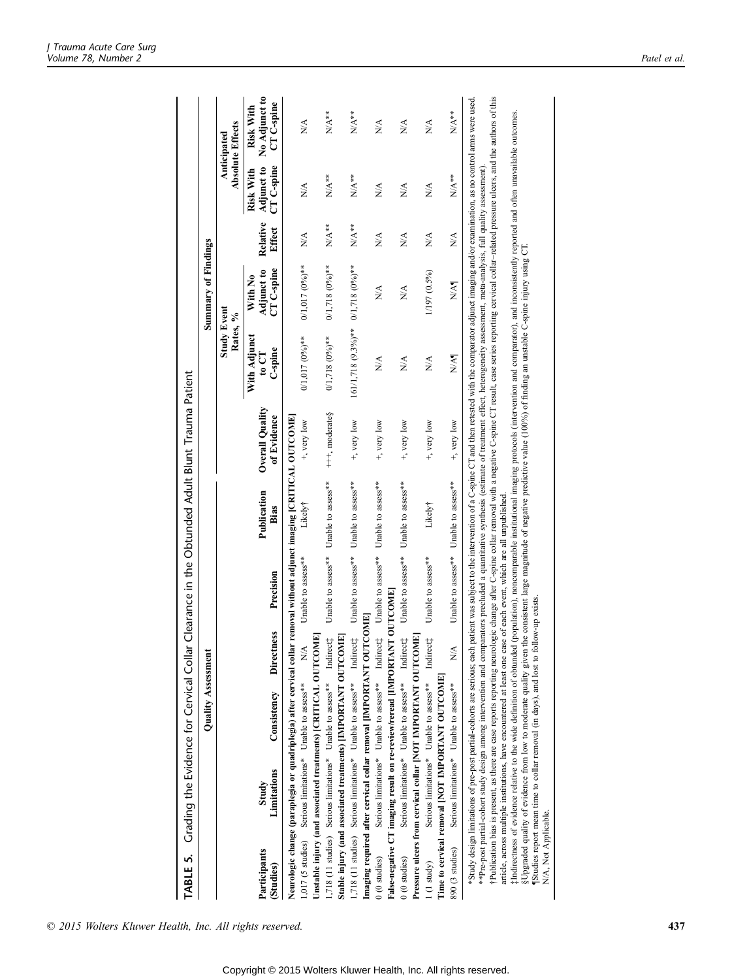| TABLE 5. Grading the Evidence for Cervical Collar Clearance in the Obtunded Adult Blunt Trauma Patient                                                                                                                                                                                                                                                                                                                                                                                                                                                                                                                                                                                                                                                                                                                                                                                                                                                                                                                                                                                                                                                                                                                                                                                                                       |                                                   |                                 |                    |                                       |                                |                                              |                                     |                              |                                       |                                          |
|------------------------------------------------------------------------------------------------------------------------------------------------------------------------------------------------------------------------------------------------------------------------------------------------------------------------------------------------------------------------------------------------------------------------------------------------------------------------------------------------------------------------------------------------------------------------------------------------------------------------------------------------------------------------------------------------------------------------------------------------------------------------------------------------------------------------------------------------------------------------------------------------------------------------------------------------------------------------------------------------------------------------------------------------------------------------------------------------------------------------------------------------------------------------------------------------------------------------------------------------------------------------------------------------------------------------------|---------------------------------------------------|---------------------------------|--------------------|---------------------------------------|--------------------------------|----------------------------------------------|-------------------------------------|------------------------------|---------------------------------------|------------------------------------------|
|                                                                                                                                                                                                                                                                                                                                                                                                                                                                                                                                                                                                                                                                                                                                                                                                                                                                                                                                                                                                                                                                                                                                                                                                                                                                                                                              | Quality Assessmen                                 |                                 |                    |                                       |                                |                                              | <b>Summary of Findings</b>          |                              |                                       |                                          |
|                                                                                                                                                                                                                                                                                                                                                                                                                                                                                                                                                                                                                                                                                                                                                                                                                                                                                                                                                                                                                                                                                                                                                                                                                                                                                                                              |                                                   |                                 |                    |                                       |                                | <b>Study Event</b><br>Rates, %               |                                     |                              |                                       | <b>Absolute Effects</b><br>Anticipated   |
| Limitations<br>Study<br>Participants<br>(Studies)                                                                                                                                                                                                                                                                                                                                                                                                                                                                                                                                                                                                                                                                                                                                                                                                                                                                                                                                                                                                                                                                                                                                                                                                                                                                            | Consistency                                       | <b>Directness</b>               | Precision          | Publication<br>Bias                   | Overall Quality<br>of Evidence | With Adjunct<br>C-spine<br>$\mathbf{t_0}$ CT | CT C-spine<br>Adjunct to<br>With No | Relative<br>Effect           | CT C-spine<br>Adjunct to<br>Risk With | No Adjunct to<br>CT C-spine<br>Risk With |
| Neurologic change (paraplegia or quadriplegia) after cervical collar removal without adjunct imaging [CRITICAL OUTCOME]<br>Unstable injury (and associated treatments) [CRITICAL OUTCOME]<br>1,017 (5 studies) Serious limitations* Unable to assess**                                                                                                                                                                                                                                                                                                                                                                                                                                                                                                                                                                                                                                                                                                                                                                                                                                                                                                                                                                                                                                                                       |                                                   | $\stackrel{\triangle}{\approx}$ | Unable to assess** | Likely†                               | +, very low                    | $0/1,017(0\%)$ **                            | $0/1,017(0\%)$ **                   | NA.                          | NA.                                   | $\frac{1}{2}$                            |
| 1,718 (11 studies) Serious limitations* Unable to assess**                                                                                                                                                                                                                                                                                                                                                                                                                                                                                                                                                                                                                                                                                                                                                                                                                                                                                                                                                                                                                                                                                                                                                                                                                                                                   |                                                   | Indirect <sub>1</sub>           | Unable to assess** | Unable to assess**                    | $+++$ , moderate $\S$          | $0/1,718(0\%)$ **                            | $0/1,718(0\%)$ **                   | $N/A**$                      | $N/A^*$                               | $N/A^*$                                  |
| 1,718 (11 studies) Serious limitations* Unable to assess** Indirect#<br>Stable injury (and associated treatments) [IMPORTANT OUTCOME]<br>Imaging required after cervical collar removal [IMPORTANT O]                                                                                                                                                                                                                                                                                                                                                                                                                                                                                                                                                                                                                                                                                                                                                                                                                                                                                                                                                                                                                                                                                                                        |                                                   | <b>UTCOME</b>                   | Unable to assess** | Unable to assess**                    | +, very low                    | $161/1,718$ (9.3%)**                         | $0/1,718$ $(0\%)^{**}$              | $N/A^*$                      | $N/A**$                               | $N/A^*$                                  |
| False-negative CT imaging result on re-review/reread [IMPORTANT OUTCOME]<br>$0(0)$ studies)                                                                                                                                                                                                                                                                                                                                                                                                                                                                                                                                                                                                                                                                                                                                                                                                                                                                                                                                                                                                                                                                                                                                                                                                                                  | Serious limitations* Unable to assess** Indirect# |                                 | Unable to assess** | Unable to assess**                    | +, very low                    | $\stackrel{\triangle}{\approx}$              | $\stackrel{\triangle}{\geq}$        | $\stackrel{\triangle}{\geq}$ | $\stackrel{\triangle}{\geq}$          | $\frac{\triangleleft}{\triangle}$        |
| Pressure ulcers from cervical collar [NOT IMPORTANT OUTCOME]<br>$0\ (0 \ {\rm studies})$                                                                                                                                                                                                                                                                                                                                                                                                                                                                                                                                                                                                                                                                                                                                                                                                                                                                                                                                                                                                                                                                                                                                                                                                                                     | Serious limitations* Unable to assess** Indirect# |                                 | Unable to assess** | Unable to assess**                    | +, very low                    | $\stackrel{\triangle}{\approx}$              | NA                                  | $\stackrel{\triangle}{\geq}$ | $\stackrel{\triangle}{\geq}$          | $\sum_{i=1}^{n}$                         |
| Time to cervical removal [NOT IMPORTANT OUTCOME]<br>1(1 study)                                                                                                                                                                                                                                                                                                                                                                                                                                                                                                                                                                                                                                                                                                                                                                                                                                                                                                                                                                                                                                                                                                                                                                                                                                                               | Serious limitations* Unable to assess**           | Indirect <sub>#</sub>           | Unable to assess** | Likely†                               | +, very low                    | $\frac{\lambda}{\lambda}$                    | 1/197 (0.5%)                        | $\frac{\lambda}{\lambda}$    | $\frac{\lambda}{\lambda}$             | $\frac{\triangleleft}{\triangle}$        |
| 890 (3 studies)                                                                                                                                                                                                                                                                                                                                                                                                                                                                                                                                                                                                                                                                                                                                                                                                                                                                                                                                                                                                                                                                                                                                                                                                                                                                                                              | Serious limitations* Unable to assess**           | $\stackrel{\triangle}{\approx}$ |                    | Unable to assess** Unable to assess** | +, very low                    | NA¶                                          | N/A¶                                | $\frac{\lambda}{\lambda}$    | $N/A**$                               | $N/A^*$                                  |
| Publication bias is present, as there are case reports reporting neurologic change after C-spine collar removal with a negative C-spine CT result, case series reporting cervical collar-related pressure ulcers, and the auth<br>Study design limitations of pre-post partial-ochorts are serious; each patient was subject to the intervention of a C-spine CT and then retested with the comparator adjunct imaging and/or examination, as no control arms we<br>#Indirectness of evidence relative to the wide definition of obtunded (population), noncomparable institutional imaging protocols (intervention and comparator), and inconsistently reported and often unavailable outcomes.<br>**Pre-post partial-cohort study design among intervention and comparators precluded a quantitative synthesis (estimate of treatment effect, heterogeneity assessment, meta-analysis, full quality assessment).<br>§Upgraded quality of evidence from low to moderate quality given the consistent large magnitude of negative predictive value (100%) of finding an unstable C-spine injury using CT.<br>article, across multiple institutions, have encountered at least one case of each event, which are all unpublished<br>Studies report mean time to collar removal (in days), and lost to<br>N/A, Not Applicable. |                                                   |                                 | follow-up exists.  |                                       |                                |                                              |                                     |                              |                                       |                                          |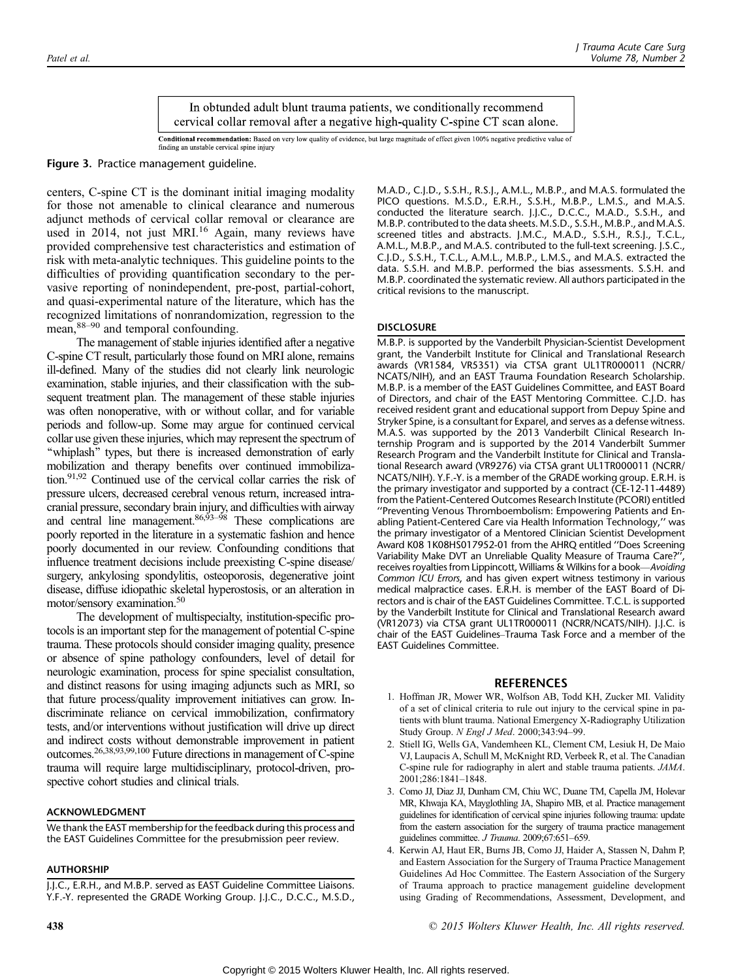In obtunded adult blunt trauma patients, we conditionally recommend cervical collar removal after a negative high-quality C-spine CT scan alone.

Conditional recommendation: Based on very low quality of evidence, but large magnitude of effect given 100% negative predictive value of finding an unstable cervical spine injury

Figure 3. Practice management guideline.

centers, C-spine CT is the dominant initial imaging modality for those not amenable to clinical clearance and numerous adjunct methods of cervical collar removal or clearance are used in 2014, not just MRI.<sup>16</sup> Again, many reviews have provided comprehensive test characteristics and estimation of risk with meta-analytic techniques. This guideline points to the difficulties of providing quantification secondary to the pervasive reporting of nonindependent, pre-post, partial-cohort, and quasi-experimental nature of the literature, which has the recognized limitations of nonrandomization, regression to the mean,  $88-90$  and temporal confounding.

The management of stable injuries identified after a negative C-spine CT result, particularly those found on MRI alone, remains ill-defined. Many of the studies did not clearly link neurologic examination, stable injuries, and their classification with the subsequent treatment plan. The management of these stable injuries was often nonoperative, with or without collar, and for variable periods and follow-up. Some may argue for continued cervical collar use given these injuries, which may represent the spectrum of ''whiplash'' types, but there is increased demonstration of early mobilization and therapy benefits over continued immobilization.91,92 Continued use of the cervical collar carries the risk of pressure ulcers, decreased cerebral venous return, increased intracranial pressure, secondary brain injury, and difficulties with airway and central line management. $86,93-98$  These complications are poorly reported in the literature in a systematic fashion and hence poorly documented in our review. Confounding conditions that influence treatment decisions include preexisting C-spine disease/ surgery, ankylosing spondylitis, osteoporosis, degenerative joint disease, diffuse idiopathic skeletal hyperostosis, or an alteration in motor/sensory examination.<sup>50</sup>

The development of multispecialty, institution-specific protocols is an important step for the management of potential C-spine trauma. These protocols should consider imaging quality, presence or absence of spine pathology confounders, level of detail for neurologic examination, process for spine specialist consultation, and distinct reasons for using imaging adjuncts such as MRI, so that future process/quality improvement initiatives can grow. Indiscriminate reliance on cervical immobilization, confirmatory tests, and/or interventions without justification will drive up direct and indirect costs without demonstrable improvement in patient outcomes.26,38,93,99,100 Future directions in management of C-spine trauma will require large multidisciplinary, protocol-driven, prospective cohort studies and clinical trials.

#### ACKNOWLEDGMENT

We thank the EAST membership for the feedback during this process and the EAST Guidelines Committee for the presubmission peer review.

## AUTHORSHIP

J.J.C., E.R.H., and M.B.P. served as EAST Guideline Committee Liaisons. Y.F.-Y. represented the GRADE Working Group. J.J.C., D.C.C., M.S.D., M.A.D., C.J.D., S.S.H., R.S.J., A.M.L., M.B.P., and M.A.S. formulated the PICO questions. M.S.D., E.R.H., S.S.H., M.B.P., L.M.S., and M.A.S. conducted the literature search. J.J.C., D.C.C., M.A.D., S.S.H., and M.B.P. contributed to the data sheets. M.S.D., S.S.H., M.B.P., and M.A.S. screened titles and abstracts. J.M.C., M.A.D., S.S.H., R.S.J., T.C.L., A.M.L., M.B.P., and M.A.S. contributed to the full-text screening. J.S.C., C.J.D., S.S.H., T.C.L., A.M.L., M.B.P., L.M.S., and M.A.S. extracted the data. S.S.H. and M.B.P. performed the bias assessments. S.S.H. and M.B.P. coordinated the systematic review. All authors participated in the critical revisions to the manuscript.

#### **DISCLOSURE**

M.B.P. is supported by the Vanderbilt Physician-Scientist Development grant, the Vanderbilt Institute for Clinical and Translational Research awards (VR1584, VR5351) via CTSA grant UL1TR000011 (NCRR/ NCATS/NIH), and an EAST Trauma Foundation Research Scholarship. M.B.P. is a member of the EAST Guidelines Committee, and EAST Board of Directors, and chair of the EAST Mentoring Committee. C.J.D. has received resident grant and educational support from Depuy Spine and Stryker Spine, is a consultant for Exparel, and serves as a defense witness. M.A.S. was supported by the 2013 Vanderbilt Clinical Research Internship Program and is supported by the 2014 Vanderbilt Summer Research Program and the Vanderbilt Institute for Clinical and Translational Research award (VR9276) via CTSA grant UL1TR000011 (NCRR/ NCATS/NIH). Y.F.-Y. is a member of the GRADE working group. E.R.H. is the primary investigator and supported by a contract (CE-12-11-4489) from the Patient-Centered Outcomes Research Institute (PCORI) entitled ''Preventing Venous Thromboembolism: Empowering Patients and Enabling Patient-Centered Care via Health Information Technology,'' was the primary investigator of a Mentored Clinician Scientist Development Award K08 1K08HS017952-01 from the AHRQ entitled ''Does Screening Variability Make DVT an Unreliable Quality Measure of Trauma Care?'', receives royalties from Lippincott, Williams & Wilkins for a book-Avoiding Common ICU Errors, and has given expert witness testimony in various medical malpractice cases. E.R.H. is member of the EAST Board of Directors and is chair of the EAST Guidelines Committee. T.C.L. is supported by the Vanderbilt Institute for Clinical and Translational Research award (VR12073) via CTSA grant UL1TR000011 (NCRR/NCATS/NIH). J.J.C. is chair of the EAST Guidelines-Trauma Task Force and a member of the EAST Guidelines Committee.

#### REFERENCES

- 1. Hoffman JR, Mower WR, Wolfson AB, Todd KH, Zucker MI. Validity of a set of clinical criteria to rule out injury to the cervical spine in patients with blunt trauma. National Emergency X-Radiography Utilization Study Group. N Engl J Med. 2000;343:94-99.
- 2. Stiell IG, Wells GA, Vandemheen KL, Clement CM, Lesiuk H, De Maio VJ, Laupacis A, Schull M, McKnight RD, Verbeek R, et al. The Canadian C-spine rule for radiography in alert and stable trauma patients. JAMA. 2001;286:1841-1848.
- 3. Como JJ, Diaz JJ, Dunham CM, Chiu WC, Duane TM, Capella JM, Holevar MR, Khwaja KA, Mayglothling JA, Shapiro MB, et al. Practice management guidelines for identification of cervical spine injuries following trauma: update from the eastern association for the surgery of trauma practice management guidelines committee. J Trauma. 2009;67:651-659.
- 4. Kerwin AJ, Haut ER, Burns JB, Como JJ, Haider A, Stassen N, Dahm P, and Eastern Association for the Surgery of Trauma Practice Management Guidelines Ad Hoc Committee. The Eastern Association of the Surgery of Trauma approach to practice management guideline development using Grading of Recommendations, Assessment, Development, and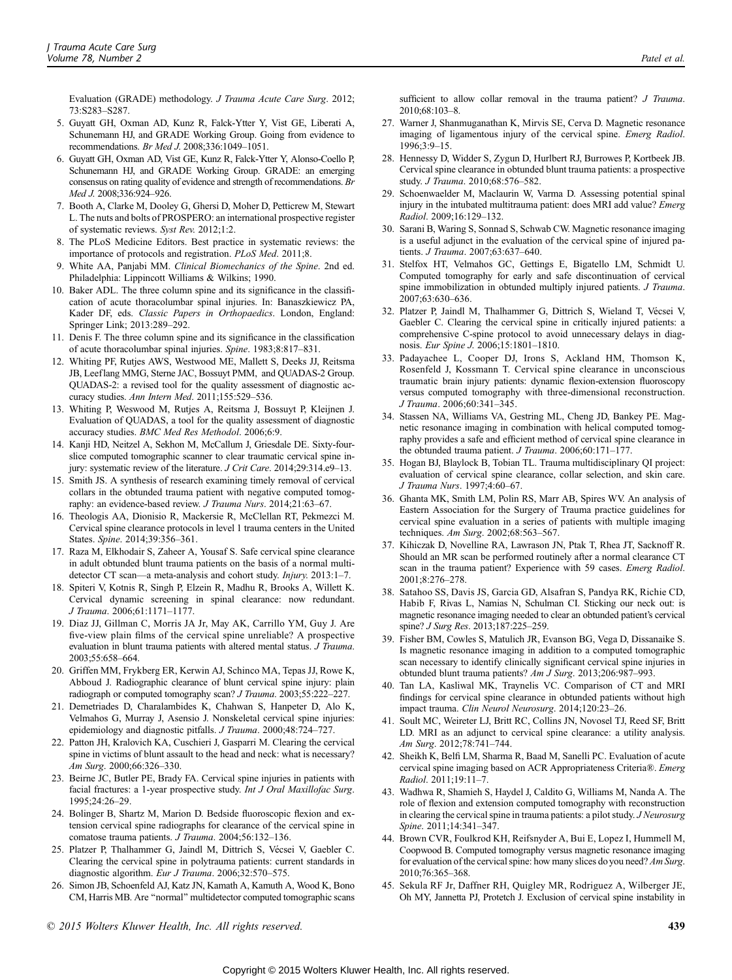Evaluation (GRADE) methodology. J Trauma Acute Care Surg. 2012; 73:S283-S287.

- 5. Guyatt GH, Oxman AD, Kunz R, Falck-Ytter Y, Vist GE, Liberati A, Schunemann HJ, and GRADE Working Group. Going from evidence to recommendations. Br Med J. 2008;336:1049-1051.
- 6. Guyatt GH, Oxman AD, Vist GE, Kunz R, Falck-Ytter Y, Alonso-Coello P, Schunemann HJ, and GRADE Working Group. GRADE: an emerging consensus on rating quality of evidence and strength of recommendations. Br Med J. 2008;336:924-926.
- 7. Booth A, Clarke M, Dooley G, Ghersi D, Moher D, Petticrew M, Stewart L. The nuts and bolts of PROSPERO: an international prospective register of systematic reviews. Syst Rev. 2012;1:2.
- 8. The PLoS Medicine Editors. Best practice in systematic reviews: the importance of protocols and registration. PLoS Med. 2011;8.
- White AA, Panjabi MM. Clinical Biomechanics of the Spine. 2nd ed. Philadelphia: Lippincott Williams & Wilkins; 1990.
- 10. Baker ADL. The three column spine and its significance in the classification of acute thoracolumbar spinal injuries. In: Banaszkiewicz PA, Kader DF, eds. Classic Papers in Orthopaedics. London, England: Springer Link; 2013:289-292.
- 11. Denis F. The three column spine and its significance in the classification of acute thoracolumbar spinal injuries. Spine. 1983;8:817-831.
- 12. Whiting PF, Rutjes AWS, Westwood ME, Mallett S, Deeks JJ, Reitsma JB, Leeflang MMG, Sterne JAC, Bossuyt PMM, and QUADAS-2 Group. QUADAS-2: a revised tool for the quality assessment of diagnostic accuracy studies. Ann Intern Med. 2011;155:529-536.
- 13. Whiting P, Weswood M, Rutjes A, Reitsma J, Bossuyt P, Kleijnen J. Evaluation of QUADAS, a tool for the quality assessment of diagnostic accuracy studies. BMC Med Res Methodol. 2006;6:9.
- 14. Kanji HD, Neitzel A, Sekhon M, McCallum J, Griesdale DE. Sixty-fourslice computed tomographic scanner to clear traumatic cervical spine injury: systematic review of the literature.  $J$  Crit Care. 2014;29:314.e9–13.
- 15. Smith JS. A synthesis of research examining timely removal of cervical collars in the obtunded trauma patient with negative computed tomography: an evidence-based review. J Trauma Nurs. 2014;21:63-67.
- 16. Theologis AA, Dionisio R, Mackersie R, McClellan RT, Pekmezci M. Cervical spine clearance protocols in level 1 trauma centers in the United States. Spine. 2014;39:356-361.
- 17. Raza M, Elkhodair S, Zaheer A, Yousaf S. Safe cervical spine clearance in adult obtunded blunt trauma patients on the basis of a normal multidetector CT scan—a meta-analysis and cohort study. *Injury.* 2013:1-7.
- 18. Spiteri V, Kotnis R, Singh P, Elzein R, Madhu R, Brooks A, Willett K. Cervical dynamic screening in spinal clearance: now redundant. J Trauma. 2006;61:1171-1177.
- 19. Diaz JJ, Gillman C, Morris JA Jr, May AK, Carrillo YM, Guy J. Are five-view plain films of the cervical spine unreliable? A prospective evaluation in blunt trauma patients with altered mental status. J Trauma. 2003;55:658-664.
- 20. Griffen MM, Frykberg ER, Kerwin AJ, Schinco MA, Tepas JJ, Rowe K, Abboud J. Radiographic clearance of blunt cervical spine injury: plain radiograph or computed tomography scan? *J Trauma*. 2003;55:222-227.
- 21. Demetriades D, Charalambides K, Chahwan S, Hanpeter D, Alo K, Velmahos G, Murray J, Asensio J. Nonskeletal cervical spine injuries: epidemiology and diagnostic pitfalls. *J Trauma*. 2000;48:724-727.
- 22. Patton JH, Kralovich KA, Cuschieri J, Gasparri M. Clearing the cervical spine in victims of blunt assault to the head and neck: what is necessary? Am Surg. 2000;66:326-330.
- 23. Beirne JC, Butler PE, Brady FA. Cervical spine injuries in patients with facial fractures: a 1-year prospective study. Int J Oral Maxillofac Surg. 1995:24:26-29.
- 24. Bolinger B, Shartz M, Marion D. Bedside fluoroscopic flexion and extension cervical spine radiographs for clearance of the cervical spine in comatose trauma patients. J Trauma. 2004;56:132-136.
- 25. Platzer P, Thalhammer G, Jaindl M, Dittrich S, Vécsei V, Gaebler C. Clearing the cervical spine in polytrauma patients: current standards in diagnostic algorithm. Eur J Trauma.  $2006;32:570-575$ .
- 26. Simon JB, Schoenfeld AJ, Katz JN, Kamath A, Kamuth A, Wood K, Bono CM, Harris MB. Are ''normal'' multidetector computed tomographic scans

sufficient to allow collar removal in the trauma patient? J Trauma. 2010:68:103-8.

- 27. Warner J, Shanmuganathan K, Mirvis SE, Cerva D. Magnetic resonance imaging of ligamentous injury of the cervical spine. Emerg Radiol. 1996;3:9-15.
- 28. Hennessy D, Widder S, Zygun D, Hurlbert RJ, Burrowes P, Kortbeek JB. Cervical spine clearance in obtunded blunt trauma patients: a prospective study. J Trauma. 2010;68:576-582.
- 29. Schoenwaelder M, Maclaurin W, Varma D. Assessing potential spinal injury in the intubated multitrauma patient: does MRI add value? Emerg Radiol. 2009:16:129-132.
- 30. Sarani B, Waring S, Sonnad S, Schwab CW. Magnetic resonance imaging is a useful adjunct in the evaluation of the cervical spine of injured patients. J Trauma. 2007;63:637-640.
- 31. Stelfox HT, Velmahos GC, Gettings E, Bigatello LM, Schmidt U. Computed tomography for early and safe discontinuation of cervical spine immobilization in obtunded multiply injured patients. J Trauma. 2007;63:630-636.
- 32. Platzer P, Jaindl M, Thalhammer G, Dittrich S, Wieland T, Vécsei V, Gaebler C. Clearing the cervical spine in critically injured patients: a comprehensive C-spine protocol to avoid unnecessary delays in diagnosis. Eur Spine J. 2006;15:1801-1810.
- 33. Padayachee L, Cooper DJ, Irons S, Ackland HM, Thomson K, Rosenfeld J, Kossmann T. Cervical spine clearance in unconscious traumatic brain injury patients: dynamic flexion-extension fluoroscopy versus computed tomography with three-dimensional reconstruction. J Trauma. 2006;60:341-345.
- 34. Stassen NA, Williams VA, Gestring ML, Cheng JD, Bankey PE. Magnetic resonance imaging in combination with helical computed tomography provides a safe and efficient method of cervical spine clearance in the obtunded trauma patient. J Trauma.  $2006;60:171-177$ .
- 35. Hogan BJ, Blaylock B, Tobian TL. Trauma multidisciplinary QI project: evaluation of cervical spine clearance, collar selection, and skin care. J Trauma Nurs. 1997;4:60-67.
- 36. Ghanta MK, Smith LM, Polin RS, Marr AB, Spires WV. An analysis of Eastern Association for the Surgery of Trauma practice guidelines for cervical spine evaluation in a series of patients with multiple imaging techniques. Am Surg. 2002;68:563-567.
- 37. Kihiczak D, Novelline RA, Lawrason JN, Ptak T, Rhea JT, Sacknoff R. Should an MR scan be performed routinely after a normal clearance CT scan in the trauma patient? Experience with 59 cases. Emerg Radiol. 2001;8:276-278.
- 38. Satahoo SS, Davis JS, Garcia GD, Alsafran S, Pandya RK, Richie CD, Habib F, Rivas L, Namias N, Schulman CI. Sticking our neck out: is magnetic resonance imaging needed to clear an obtunded patient's cervical spine? J Surg Res. 2013;187:225-259.
- 39. Fisher BM, Cowles S, Matulich JR, Evanson BG, Vega D, Dissanaike S. Is magnetic resonance imaging in addition to a computed tomographic scan necessary to identify clinically significant cervical spine injuries in obtunded blunt trauma patients? Am J Surg. 2013;206:987-993.
- 40. Tan LA, Kasliwal MK, Traynelis VC. Comparison of CT and MRI findings for cervical spine clearance in obtunded patients without high impact trauma. Clin Neurol Neurosurg. 2014;120:23-26.
- 41. Soult MC, Weireter LJ, Britt RC, Collins JN, Novosel TJ, Reed SF, Britt LD. MRI as an adjunct to cervical spine clearance: a utility analysis. Am Surg. 2012;78:741-744.
- 42. Sheikh K, Belfi LM, Sharma R, Baad M, Sanelli PC. Evaluation of acute cervical spine imaging based on ACR Appropriateness Criteria®. Emerg Radiol. 2011;19:11-7.
- 43. Wadhwa R, Shamieh S, Haydel J, Caldito G, Williams M, Nanda A. The role of flexion and extension computed tomography with reconstruction in clearing the cervical spine in trauma patients: a pilot study. J Neurosurg Spine. 2011;14:341-347.
- 44. Brown CVR, Foulkrod KH, Reifsnyder A, Bui E, Lopez I, Hummell M, Coopwood B. Computed tomography versus magnetic resonance imaging for evaluation of the cervical spine: how many slices do you need? Am Surg. 2010;76:365-368.
- 45. Sekula RF Jr, Daffner RH, Quigley MR, Rodriguez A, Wilberger JE, Oh MY, Jannetta PJ, Protetch J. Exclusion of cervical spine instability in
- $\degree$  2015 Wolters Kluwer Health, Inc. All rights reserved.  $\degree$  439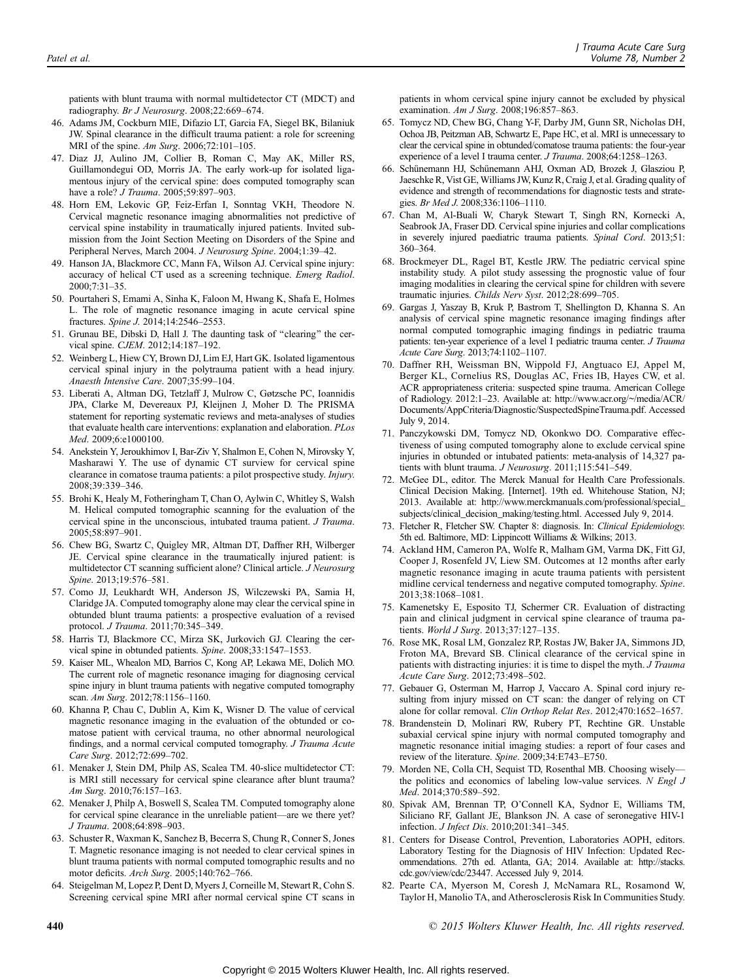patients with blunt trauma with normal multidetector CT (MDCT) and radiography. Br J Neurosurg. 2008;22:669-674.

- 46. Adams JM, Cockburn MIE, Difazio LT, Garcia FA, Siegel BK, Bilaniuk JW. Spinal clearance in the difficult trauma patient: a role for screening MRI of the spine.  $Am$  Surg. 2006;72:101-105.
- 47. Diaz JJ, Aulino JM, Collier B, Roman C, May AK, Miller RS, Guillamondegui OD, Morris JA. The early work-up for isolated ligamentous injury of the cervical spine: does computed tomography scan have a role? J Trauma. 2005;59:897-903.
- 48. Horn EM, Lekovic GP, Feiz-Erfan I, Sonntag VKH, Theodore N. Cervical magnetic resonance imaging abnormalities not predictive of cervical spine instability in traumatically injured patients. Invited submission from the Joint Section Meeting on Disorders of the Spine and Peripheral Nerves, March 2004. J Neurosurg Spine. 2004;1:39-42.
- 49. Hanson JA, Blackmore CC, Mann FA, Wilson AJ. Cervical spine injury: accuracy of helical CT used as a screening technique. Emerg Radiol. 2000;7:31-35.
- 50. Pourtaheri S, Emami A, Sinha K, Faloon M, Hwang K, Shafa E, Holmes L. The role of magnetic resonance imaging in acute cervical spine fractures. Spine J. 2014;14:2546-2553.
- 51. Grunau BE, Dibski D, Hall J. The daunting task of ''clearing'' the cervical spine. CJEM. 2012;14:187-192.
- 52. Weinberg L, Hiew CY, Brown DJ, Lim EJ, Hart GK. Isolated ligamentous cervical spinal injury in the polytrauma patient with a head injury. Anaesth Intensive Care. 2007;35:99-104.
- 53. Liberati A, Altman DG, Tetzlaff J, Mulrow C, Gøtzsche PC, Ioannidis JPA, Clarke M, Devereaux PJ, Kleijnen J, Moher D. The PRISMA statement for reporting systematic reviews and meta-analyses of studies that evaluate health care interventions: explanation and elaboration. PLos Med. 2009;6:e1000100.
- 54. Anekstein Y, Jeroukhimov I, Bar-Ziv Y, Shalmon E, Cohen N, Mirovsky Y, Masharawi Y. The use of dynamic CT surview for cervical spine clearance in comatose trauma patients: a pilot prospective study. Injury. 2008;39:339-346.
- 55. Brohi K, Healy M, Fotheringham T, Chan O, Aylwin C, Whitley S, Walsh M. Helical computed tomographic scanning for the evaluation of the cervical spine in the unconscious, intubated trauma patient. J Trauma. 2005;58:897-901.
- 56. Chew BG, Swartz C, Quigley MR, Altman DT, Daffner RH, Wilberger JE. Cervical spine clearance in the traumatically injured patient: is multidetector CT scanning sufficient alone? Clinical article. J Neurosurg Spine. 2013;19:576-581.
- 57. Como JJ, Leukhardt WH, Anderson JS, Wilczewski PA, Samia H, Claridge JA. Computed tomography alone may clear the cervical spine in obtunded blunt trauma patients: a prospective evaluation of a revised protocol. J Trauma. 2011;70:345-349.
- 58. Harris TJ, Blackmore CC, Mirza SK, Jurkovich GJ. Clearing the cervical spine in obtunded patients. Spine. 2008;33:1547-1553.
- 59. Kaiser ML, Whealon MD, Barrios C, Kong AP, Lekawa ME, Dolich MO. The current role of magnetic resonance imaging for diagnosing cervical spine injury in blunt trauma patients with negative computed tomography scan. Am Surg. 2012;78:1156-1160.
- 60. Khanna P, Chau C, Dublin A, Kim K, Wisner D. The value of cervical magnetic resonance imaging in the evaluation of the obtunded or comatose patient with cervical trauma, no other abnormal neurological findings, and a normal cervical computed tomography. J Trauma Acute Care Surg. 2012;72:699-702.
- 61. Menaker J, Stein DM, Philp AS, Scalea TM. 40-slice multidetector CT: is MRI still necessary for cervical spine clearance after blunt trauma? Am Surg. 2010:76:157-163.
- 62. Menaker J, Philp A, Boswell S, Scalea TM. Computed tomography alone for cervical spine clearance in the unreliable patient—are we there yet? J Trauma. 2008;64:898-903.
- 63. Schuster R, Waxman K, Sanchez B, Becerra S, Chung R, Conner S, Jones T. Magnetic resonance imaging is not needed to clear cervical spines in blunt trauma patients with normal computed tomographic results and no motor deficits. Arch Surg. 2005;140:762-766.
- 64. Steigelman M, Lopez P, Dent D, Myers J, Corneille M, Stewart R, Cohn S. Screening cervical spine MRI after normal cervical spine CT scans in

patients in whom cervical spine injury cannot be excluded by physical examination. Am J Surg. 2008;196:857-863.

- 65. Tomycz ND, Chew BG, Chang Y-F, Darby JM, Gunn SR, Nicholas DH, Ochoa JB, Peitzman AB, Schwartz E, Pape HC, et al. MRI is unnecessary to clear the cervical spine in obtunded/comatose trauma patients: the four-year experience of a level I trauma center. J Trauma. 2008;64:1258-1263.
- 66. Schünemann HJ, Schünemann AHJ, Oxman AD, Brozek J, Glasziou P, Jaeschke R, Vist GE, Williams JW, Kunz R, Craig J, et al. Grading quality of evidence and strength of recommendations for diagnostic tests and strategies. Br Med J. 2008;336:1106-1110.
- 67. Chan M, Al-Buali W, Charyk Stewart T, Singh RN, Kornecki A, Seabrook JA, Fraser DD. Cervical spine injuries and collar complications in severely injured paediatric trauma patients. Spinal Cord. 2013;51:  $360 - 364.$
- 68. Brockmeyer DL, Ragel BT, Kestle JRW. The pediatric cervical spine instability study. A pilot study assessing the prognostic value of four imaging modalities in clearing the cervical spine for children with severe traumatic injuries. Childs Nerv Syst. 2012;28:699-705.
- 69. Gargas J, Yaszay B, Kruk P, Bastrom T, Shellington D, Khanna S. An analysis of cervical spine magnetic resonance imaging findings after normal computed tomographic imaging findings in pediatric trauma patients: ten-year experience of a level I pediatric trauma center. *J Trauma* Acute Care Surg. 2013;74:1102-1107.
- 70. Daffner RH, Weissman BN, Wippold FJ, Angtuaco EJ, Appel M, Berger KL, Cornelius RS, Douglas AC, Fries IB, Hayes CW, et al. ACR appropriateness criteria: suspected spine trauma. American College of Radiology. 2012:1-23. Available at: [http://www.acr.org/~/media/ACR/](http://www.acr.org/~/media/ACR/Documents/AppCriteria/Diagnostic/SuspectedSpineTrauma.pdf) [Documents/AppCriteria/Diagnostic/SuspectedSpineTrauma.pdf.](http://www.acr.org/~/media/ACR/Documents/AppCriteria/Diagnostic/SuspectedSpineTrauma.pdf) Accessed July 9, 2014.
- 71. Panczykowski DM, Tomycz ND, Okonkwo DO. Comparative effectiveness of using computed tomography alone to exclude cervical spine injuries in obtunded or intubated patients: meta-analysis of 14,327 patients with blunt trauma. J Neurosurg. 2011;115:541-549.
- 72. McGee DL, editor. The Merck Manual for Health Care Professionals. Clinical Decision Making. [Internet]. 19th ed. Whitehouse Station, NJ; 2013. Available at: [http://www.merckmanuals.com/professional/special\\_](http://www.merckmanuals.com/professional/special_subjects/clinical_decision_making/testing.html) [subjects/clinical\\_decision\\_making/testing.html](http://www.merckmanuals.com/professional/special_subjects/clinical_decision_making/testing.html). Accessed July 9, 2014.
- 73. Fletcher R, Fletcher SW. Chapter 8: diagnosis. In: Clinical Epidemiology. 5th ed. Baltimore, MD: Lippincott Williams & Wilkins; 2013.
- 74. Ackland HM, Cameron PA, Wolfe R, Malham GM, Varma DK, Fitt GJ, Cooper J, Rosenfeld JV, Liew SM. Outcomes at 12 months after early magnetic resonance imaging in acute trauma patients with persistent midline cervical tenderness and negative computed tomography. Spine. 2013:38:1068-1081.
- 75. Kamenetsky E, Esposito TJ, Schermer CR. Evaluation of distracting pain and clinical judgment in cervical spine clearance of trauma patients. World J Surg. 2013;37:127-135.
- 76. Rose MK, Rosal LM, Gonzalez RP, Rostas JW, Baker JA, Simmons JD, Froton MA, Brevard SB. Clinical clearance of the cervical spine in patients with distracting injuries: it is time to dispel the myth. J Trauma Acute Care Surg. 2012;73:498-502.
- 77. Gebauer G, Osterman M, Harrop J, Vaccaro A. Spinal cord injury resulting from injury missed on CT scan: the danger of relying on CT alone for collar removal. Clin Orthop Relat Res. 2012;470:1652-1657.
- 78. Brandenstein D, Molinari RW, Rubery PT, Rechtine GR. Unstable subaxial cervical spine injury with normal computed tomography and magnetic resonance initial imaging studies: a report of four cases and review of the literature. Spine. 2009;34:E743-E750.
- 79. Morden NE, Colla CH, Sequist TD, Rosenthal MB. Choosing wiselythe politics and economics of labeling low-value services. N Engl J Med. 2014;370:589-592.
- 80. Spivak AM, Brennan TP, O'Connell KA, Sydnor E, Williams TM, Siliciano RF, Gallant JE, Blankson JN. A case of seronegative HIV-1 infection. J Infect Dis. 2010;201:341-345.
- 81. Centers for Disease Control, Prevention, Laboratories AOPH, editors. Laboratory Testing for the Diagnosis of HIV Infection: Updated Recommendations. 27th ed. Atlanta, GA; 2014. Available at: [http://stacks.](http://stacks.cdc.gov/view/cdc/23447) [cdc.gov/view/cdc/23447](http://stacks.cdc.gov/view/cdc/23447). Accessed July 9, 2014.
- 82. Pearte CA, Myerson M, Coresh J, McNamara RL, Rosamond W, Taylor H, Manolio TA, and Atherosclerosis Risk In Communities Study.